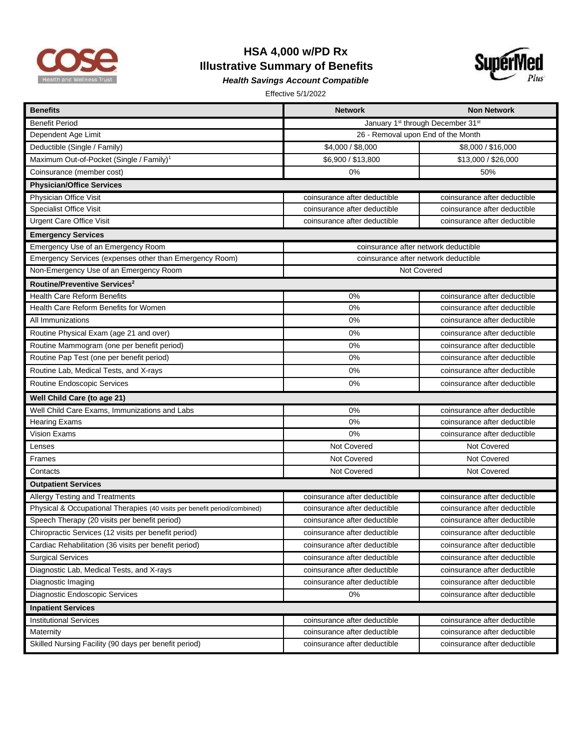

## **HSA 4,000 w/PD Rx Illustrative Summary of Benefits**



*Health Savings Account Compatible* 

Effective 5/1/2022

| <b>Benefits</b>                                                           | <b>Network</b>                                            | <b>Non Network</b>           |  |
|---------------------------------------------------------------------------|-----------------------------------------------------------|------------------------------|--|
| <b>Benefit Period</b>                                                     | January 1 <sup>st</sup> through December 31 <sup>st</sup> |                              |  |
| Dependent Age Limit                                                       | 26 - Removal upon End of the Month                        |                              |  |
| Deductible (Single / Family)                                              | \$4,000 / \$8,000                                         | \$8,000 / \$16,000           |  |
| Maximum Out-of-Pocket (Single / Family) <sup>1</sup>                      | \$6,900 / \$13,800                                        | \$13,000 / \$26,000          |  |
| Coinsurance (member cost)                                                 | 0%                                                        | 50%                          |  |
| <b>Physician/Office Services</b>                                          |                                                           |                              |  |
| Physician Office Visit                                                    | coinsurance after deductible                              | coinsurance after deductible |  |
| <b>Specialist Office Visit</b>                                            | coinsurance after deductible                              | coinsurance after deductible |  |
| <b>Urgent Care Office Visit</b>                                           | coinsurance after deductible                              | coinsurance after deductible |  |
| <b>Emergency Services</b>                                                 |                                                           |                              |  |
| Emergency Use of an Emergency Room                                        | coinsurance after network deductible                      |                              |  |
| Emergency Services (expenses other than Emergency Room)                   | coinsurance after network deductible                      |                              |  |
| Non-Emergency Use of an Emergency Room                                    | Not Covered                                               |                              |  |
| Routine/Preventive Services <sup>2</sup>                                  |                                                           |                              |  |
| <b>Health Care Reform Benefits</b>                                        | 0%                                                        | coinsurance after deductible |  |
| Health Care Reform Benefits for Women                                     | 0%                                                        | coinsurance after deductible |  |
| All Immunizations                                                         | 0%                                                        | coinsurance after deductible |  |
| Routine Physical Exam (age 21 and over)                                   | 0%                                                        | coinsurance after deductible |  |
| Routine Mammogram (one per benefit period)                                | 0%                                                        | coinsurance after deductible |  |
| Routine Pap Test (one per benefit period)                                 | 0%                                                        | coinsurance after deductible |  |
| Routine Lab, Medical Tests, and X-rays                                    | 0%                                                        | coinsurance after deductible |  |
| Routine Endoscopic Services                                               | 0%                                                        | coinsurance after deductible |  |
| Well Child Care (to age 21)                                               |                                                           |                              |  |
| Well Child Care Exams, Immunizations and Labs                             | 0%                                                        | coinsurance after deductible |  |
| <b>Hearing Exams</b>                                                      | 0%                                                        | coinsurance after deductible |  |
| <b>Vision Exams</b>                                                       | 0%                                                        | coinsurance after deductible |  |
| Lenses                                                                    | Not Covered                                               | Not Covered                  |  |
| Frames                                                                    | Not Covered                                               | Not Covered                  |  |
| Contacts                                                                  | Not Covered                                               | Not Covered                  |  |
| <b>Outpatient Services</b>                                                |                                                           |                              |  |
| Allergy Testing and Treatments                                            | coinsurance after deductible                              | coinsurance after deductible |  |
| Physical & Occupational Therapies (40 visits per benefit period/combined) | coinsurance after deductible                              | coinsurance after deductible |  |
| Speech Therapy (20 visits per benefit period)                             | coinsurance after deductible                              | coinsurance after deductible |  |
| Chiropractic Services (12 visits per benefit period)                      | coinsurance after deductible                              | coinsurance after deductible |  |
| Cardiac Rehabilitation (36 visits per benefit period)                     | coinsurance after deductible                              | coinsurance after deductible |  |
| <b>Surgical Services</b>                                                  | coinsurance after deductible                              | coinsurance after deductible |  |
| Diagnostic Lab, Medical Tests, and X-rays                                 | coinsurance after deductible                              | coinsurance after deductible |  |
| Diagnostic Imaging                                                        | coinsurance after deductible                              | coinsurance after deductible |  |
| Diagnostic Endoscopic Services                                            | 0%                                                        | coinsurance after deductible |  |
| <b>Inpatient Services</b>                                                 |                                                           |                              |  |
| <b>Institutional Services</b>                                             | coinsurance after deductible                              | coinsurance after deductible |  |
| Maternity                                                                 | coinsurance after deductible                              | coinsurance after deductible |  |
| Skilled Nursing Facility (90 days per benefit period)                     | coinsurance after deductible                              | coinsurance after deductible |  |